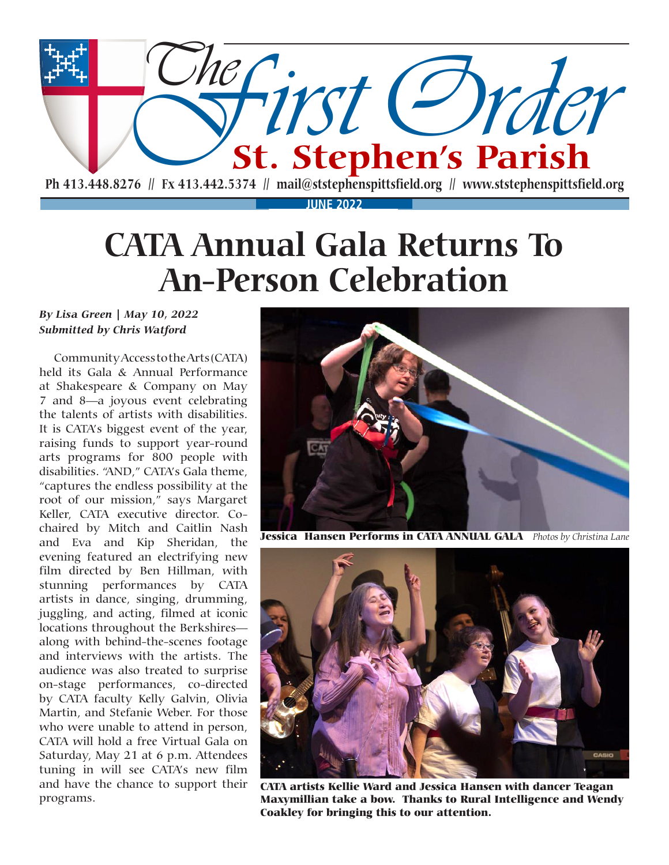

## **CATA Annual Gala Returns To An-Person Celebration**

#### *By Lisa Green | May 10, 2022 Submitted by Chris Watford*

Community Access to the Arts (CATA) held its Gala & Annual Performance at Shakespeare & Company on May 7 and 8—a joyous event celebrating the talents of artists with disabilities. It is CATA's biggest event of the year, raising funds to support year-round arts programs for 800 people with disabilities. "AND," CATA's Gala theme, "captures the endless possibility at the root of our mission," says Margaret Keller, CATA executive director. Cochaired by Mitch and Caitlin Nash and Eva and Kip Sheridan, the evening featured an electrifying new film directed by Ben Hillman, with stunning performances by CATA artists in dance, singing, drumming, juggling, and acting, filmed at iconic locations throughout the Berkshires along with behind-the-scenes footage and interviews with the artists. The audience was also treated to surprise on-stage performances, co-directed by CATA faculty Kelly Galvin, Olivia Martin, and Stefanie Weber. For those who were unable to attend in person, CATA will hold a free Virtual Gala on Saturday, May 21 at 6 p.m. Attendees tuning in will see CATA's new film and have the chance to support their programs.



Jessica Hansen Performs in CATA ANNUAL GALA *Photos by Christina Lane*



CATA artists Kellie Ward and Jessica Hansen with dancer Teagan Maxymillian take a bow. Thanks to Rural Intelligence and Wendy Coakley for bringing this to our attention.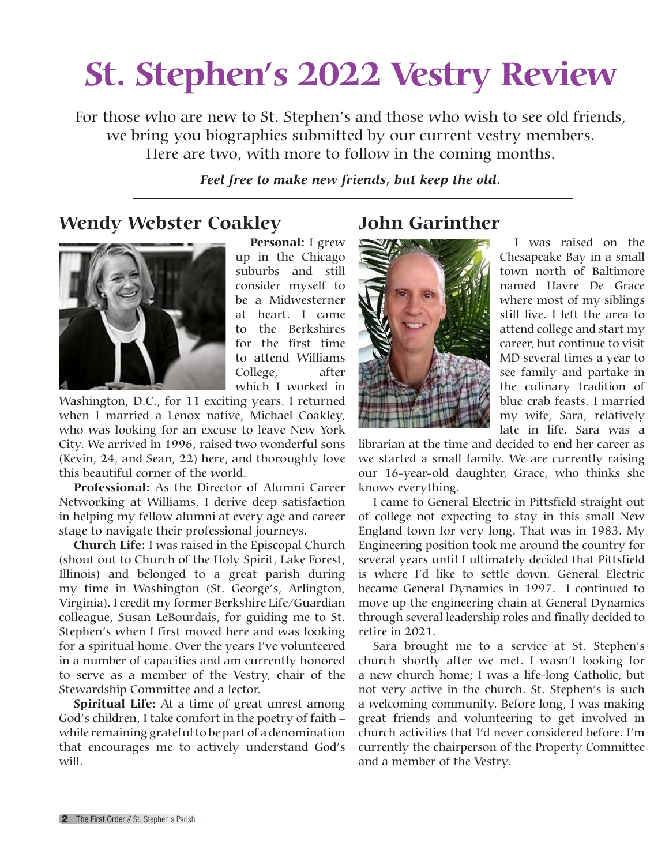## **St. Stephen's 2022 Vestry Review**

For those who are new to St. Stephen's and those who wish to see old friends, we bring you biographies submitted by our current vestry members. Here are two, with more to follow in the coming months.

### *Feel free to make new friends, but keep the old.*

### **Wendy Webster Coakley**



**Personal:** I grew up in the Chicago suburbs and still consider myself to be a Midwesterner at heart. I came to the Berkshires for the first time to attend Williams College, after which I worked in

Washington, D.C., for 11 exciting years. I returned when I married a Lenox native, Michael Coakley, who was looking for an excuse to leave New York City. We arrived in 1996, raised two wonderful sons (Kevin, 24, and Sean, 22) here, and thoroughly love this beautiful corner of the world.

**Professional:** As the Director of Alumni Career Networking at Williams, I derive deep satisfaction in helping my fellow alumni at every age and career stage to navigate their professional journeys.

**Church Life:** I was raised in the Episcopal Church (shout out to Church of the Holy Spirit, Lake Forest, Illinois) and belonged to a great parish during my time in Washington (St. George's, Arlington, Virginia). I credit my former Berkshire Life/Guardian colleague, Susan LeBourdais, for guiding me to St. Stephen's when I first moved here and was looking for a spiritual home. Over the years I've volunteered in a number of capacities and am currently honored to serve as a member of the Vestry, chair of the Stewardship Committee and a lector.

**Spiritual Life:** At a time of great unrest among God's children, I take comfort in the poetry of faith – while remaining grateful to be part of a denomination that encourages me to actively understand God's will.

### **John Garinther**



I was raised on the Chesapeake Bay in a small town north of Baltimore named Havre De Grace where most of my siblings still live. I left the area to attend college and start my career, but continue to visit MD several times a year to see family and partake in the culinary tradition of blue crab feasts. I married my wife, Sara, relatively late in life. Sara was a

librarian at the time and decided to end her career as we started a small family. We are currently raising our 16-year-old daughter, Grace, who thinks she knows everything.

I came to General Electric in Pittsfield straight out of college not expecting to stay in this small New England town for very long. That was in 1983. My Engineering position took me around the country for several years until I ultimately decided that Pittsfield is where I'd like to settle down. General Electric became General Dynamics in 1997. I continued to move up the engineering chain at General Dynamics through several leadership roles and finally decided to retire in 2021.

Sara brought me to a service at St. Stephen's church shortly after we met. I wasn't looking for a new church home; I was a life-long Catholic, but not very active in the church. St. Stephen's is such a welcoming community. Before long, I was making great friends and volunteering to get involved in church activities that I'd never considered before. I'm currently the chairperson of the Property Committee and a member of the Vestry.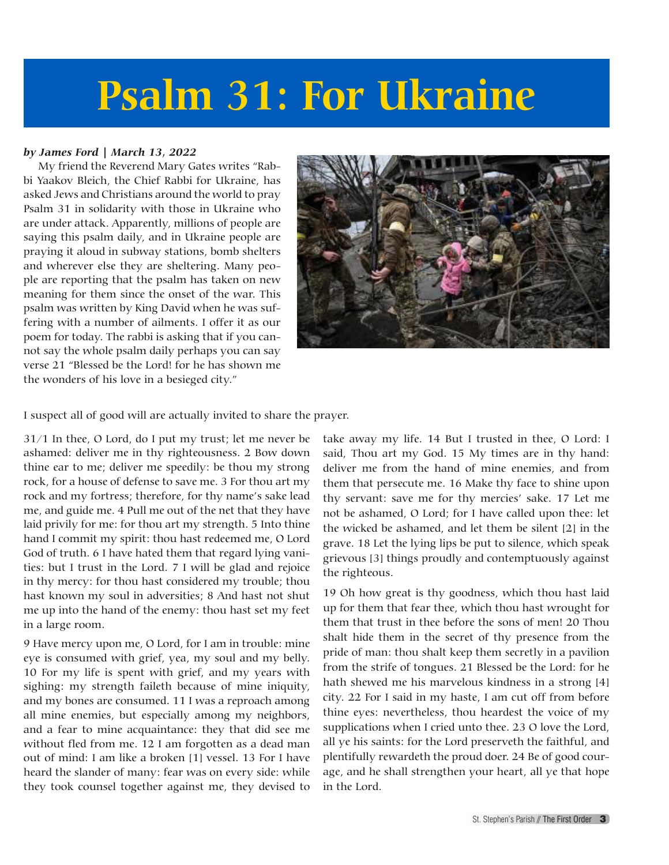# **Psalm 31: For Ukraine**

#### *by James Ford | March 13, 2022*

My friend the Reverend Mary Gates writes "Rabbi Yaakov Bleich, the Chief Rabbi for Ukraine, has asked Jews and Christians around the world to pray Psalm 31 in solidarity with those in Ukraine who are under attack. Apparently, millions of people are saying this psalm daily, and in Ukraine people are praying it aloud in subway stations, bomb shelters and wherever else they are sheltering. Many people are reporting that the psalm has taken on new meaning for them since the onset of the war. This psalm was written by King David when he was suffering with a number of ailments. I offer it as our poem for today. The rabbi is asking that if you cannot say the whole psalm daily perhaps you can say verse 21 "Blessed be the Lord! for he has shown me the wonders of his love in a besieged city."



I suspect all of good will are actually invited to share the prayer.

31/1 In thee, O Lord, do I put my trust; let me never be ashamed: deliver me in thy righteousness. 2 Bow down thine ear to me; deliver me speedily: be thou my strong rock, for a house of defense to save me. 3 For thou art my rock and my fortress; therefore, for thy name's sake lead me, and guide me. 4 Pull me out of the net that they have laid privily for me: for thou art my strength. 5 Into thine hand I commit my spirit: thou hast redeemed me, O Lord God of truth. 6 I have hated them that regard lying vanities: but I trust in the Lord. 7 I will be glad and rejoice in thy mercy: for thou hast considered my trouble; thou hast known my soul in adversities; 8 And hast not shut me up into the hand of the enemy: thou hast set my feet in a large room.

9 Have mercy upon me, O Lord, for I am in trouble: mine eye is consumed with grief, yea, my soul and my belly. 10 For my life is spent with grief, and my years with sighing: my strength faileth because of mine iniquity, and my bones are consumed. 11 I was a reproach among all mine enemies, but especially among my neighbors, and a fear to mine acquaintance: they that did see me without fled from me. 12 I am forgotten as a dead man out of mind: I am like a broken [1] vessel. 13 For I have heard the slander of many: fear was on every side: while they took counsel together against me, they devised to

take away my life. 14 But I trusted in thee, O Lord: I said, Thou art my God. 15 My times are in thy hand: deliver me from the hand of mine enemies, and from them that persecute me. 16 Make thy face to shine upon thy servant: save me for thy mercies' sake. 17 Let me not be ashamed, O Lord; for I have called upon thee: let the wicked be ashamed, and let them be silent [2] in the grave. 18 Let the lying lips be put to silence, which speak grievous [3] things proudly and contemptuously against the righteous.

19 Oh how great is thy goodness, which thou hast laid up for them that fear thee, which thou hast wrought for them that trust in thee before the sons of men! 20 Thou shalt hide them in the secret of thy presence from the pride of man: thou shalt keep them secretly in a pavilion from the strife of tongues. 21 Blessed be the Lord: for he hath shewed me his marvelous kindness in a strong [4] city. 22 For I said in my haste, I am cut off from before thine eyes: nevertheless, thou heardest the voice of my supplications when I cried unto thee. 23 O love the Lord, all ye his saints: for the Lord preserveth the faithful, and plentifully rewardeth the proud doer. 24 Be of good courage, and he shall strengthen your heart, all ye that hope in the Lord.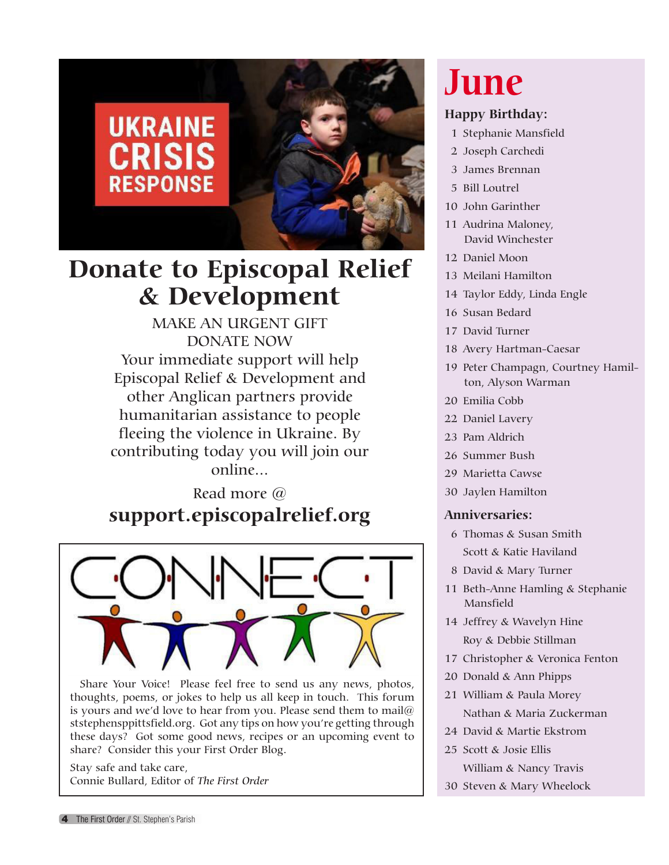

## **Donate to Episcopal Relief & Development**

MAKE AN URGENT GIFT DONATE NOW Your immediate support will help Episcopal Relief & Development and other Anglican partners provide humanitarian assistance to people fleeing the violence in Ukraine. By contributing today you will join our online...

Read more @ **support.episcopalrelief.org**



Share Your Voice! Please feel free to send us any news, photos, thoughts, poems, or jokes to help us all keep in touch. This forum is yours and we'd love to hear from you. Please send them to mail@ ststephensppittsfield.org. Got any tips on how you're getting through these days? Got some good news, recipes or an upcoming event to share? Consider this your First Order Blog.

Stay safe and take care, Connie Bullard, Editor of *The First Order*

## **June**

### **Happy Birthday:**

- 1 Stephanie Mansfield
- 2 Joseph Carchedi
- 3 James Brennan
- 5 Bill Loutrel
- 10 John Garinther
- 11 Audrina Maloney, David Winchester
- 12 Daniel Moon
- 13 Meilani Hamilton
- 14 Taylor Eddy, Linda Engle
- 16 Susan Bedard
- 17 David Turner
- 18 Avery Hartman-Caesar
- 19 Peter Champagn, Courtney Hamilton, Alyson Warman
- 20 Emilia Cobb
- 22 Daniel Lavery
- 23 Pam Aldrich
- 26 Summer Bush
- 29 Marietta Cawse
- 30 Jaylen Hamilton

#### **Anniversaries:**

- 6 Thomas & Susan Smith Scott & Katie Haviland
- 8 David & Mary Turner
- 11 Beth-Anne Hamling & Stephanie Mansfield
- 14 Jeffrey & Wavelyn Hine Roy & Debbie Stillman
- 17 Christopher & Veronica Fenton
- 20 Donald & Ann Phipps
- 21 William & Paula Morey Nathan & Maria Zuckerman
- 24 David & Martie Ekstrom
- 25 Scott & Josie Ellis William & Nancy Travis
- 30 Steven & Mary Wheelock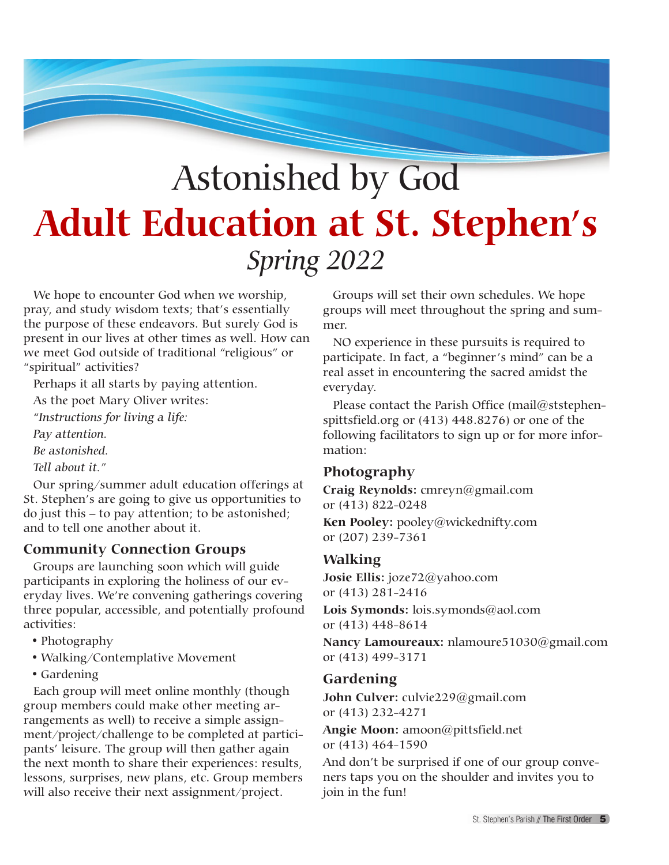## Astonished by God **Adult Education at St. Stephen's** *Spring 2022*

We hope to encounter God when we worship, pray, and study wisdom texts; that's essentially the purpose of these endeavors. But surely God is present in our lives at other times as well. How can we meet God outside of traditional "religious" or "spiritual" activities?

Perhaps it all starts by paying attention.

As the poet Mary Oliver writes:

*"Instructions for living a life:*

*Pay attention.*

*Be astonished.*

*Tell about it."*

Our spring/summer adult education offerings at St. Stephen's are going to give us opportunities to do just this – to pay attention; to be astonished; and to tell one another about it.

### **Community Connection Groups**

Groups are launching soon which will guide participants in exploring the holiness of our everyday lives. We're convening gatherings covering three popular, accessible, and potentially profound activities:

- Photography
- • Walking/Contemplative Movement
- Gardening

Each group will meet online monthly (though group members could make other meeting arrangements as well) to receive a simple assignment/project/challenge to be completed at participants' leisure. The group will then gather again the next month to share their experiences: results, lessons, surprises, new plans, etc. Group members will also receive their next assignment/project.

Groups will set their own schedules. We hope groups will meet throughout the spring and summer.

NO experience in these pursuits is required to participate. In fact, a "beginner's mind" can be a real asset in encountering the sacred amidst the everyday.

Please contact the Parish Office (mail@ststephenspittsfield.org or (413) 448.8276) or one of the following facilitators to sign up or for more information:

### **Photography**

**Craig Reynolds:** cmreyn@gmail.com or (413) 822-0248

**Ken Pooley:** pooley@wickednifty.com or (207) 239-7361

#### **Walking**

**Josie Ellis:** joze72@yahoo.com or (413) 281-2416

**Lois Symonds:** lois.symonds@aol.com or (413) 448-8614

**Nancy Lamoureaux:** nlamoure51030@gmail.com or (413) 499-3171

#### **Gardening**

**John Culver:** culvie229@gmail.com or (413) 232-4271

**Angie Moon:** amoon@pittsfield.net or (413) 464-1590

And don't be surprised if one of our group conveners taps you on the shoulder and invites you to join in the fun!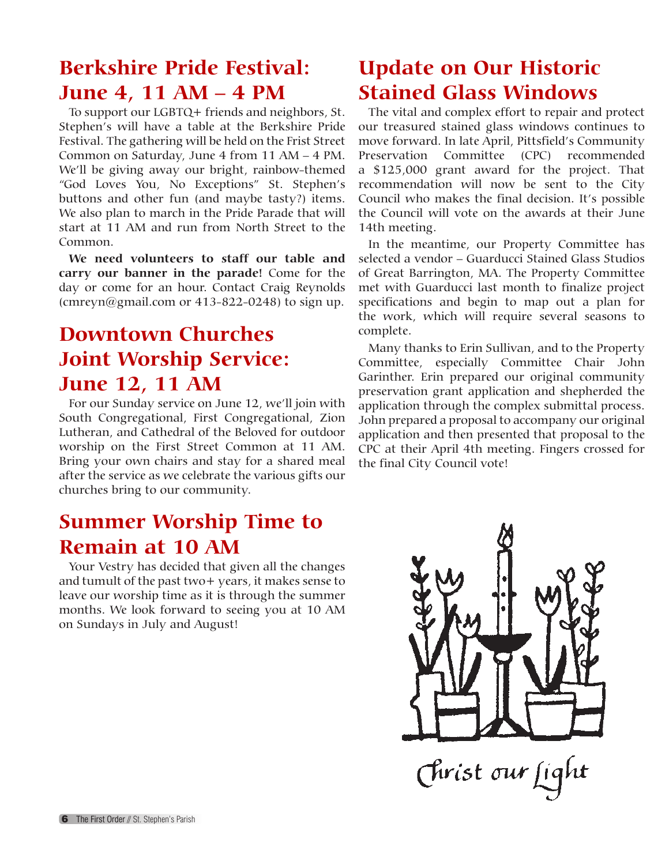### **Berkshire Pride Festival: June 4, 11 AM – 4 PM**

To support our LGBTQ+ friends and neighbors, St. Stephen's will have a table at the Berkshire Pride Festival. The gathering will be held on the Frist Street Common on Saturday, June 4 from 11 AM – 4 PM. We'll be giving away our bright, rainbow-themed "God Loves You, No Exceptions" St. Stephen's buttons and other fun (and maybe tasty?) items. We also plan to march in the Pride Parade that will start at 11 AM and run from North Street to the Common.

**We need volunteers to staff our table and carry our banner in the parade!** Come for the day or come for an hour. Contact Craig Reynolds (cmreyn@gmail.com or  $413-822-0248$ ) to sign up.

### **Downtown Churches Joint Worship Service: June 12, 11 AM**

For our Sunday service on June 12, we'll join with South Congregational, First Congregational, Zion Lutheran, and Cathedral of the Beloved for outdoor worship on the First Street Common at 11 AM. Bring your own chairs and stay for a shared meal after the service as we celebrate the various gifts our churches bring to our community.

### **Summer Worship Time to Remain at 10 AM**

Your Vestry has decided that given all the changes and tumult of the past two+ years, it makes sense to leave our worship time as it is through the summer months. We look forward to seeing you at 10 AM on Sundays in July and August!

### **Update on Our Historic Stained Glass Windows**

The vital and complex effort to repair and protect our treasured stained glass windows continues to move forward. In late April, Pittsfield's Community Preservation Committee (CPC) recommended a \$125,000 grant award for the project. That recommendation will now be sent to the City Council who makes the final decision. It's possible the Council will vote on the awards at their June 14th meeting.

In the meantime, our Property Committee has selected a vendor – Guarducci Stained Glass Studios of Great Barrington, MA. The Property Committee met with Guarducci last month to finalize project specifications and begin to map out a plan for the work, which will require several seasons to complete.

Many thanks to Erin Sullivan, and to the Property Committee, especially Committee Chair John Garinther. Erin prepared our original community preservation grant application and shepherded the application through the complex submittal process. John prepared a proposal to accompany our original application and then presented that proposal to the CPC at their April 4th meeting. Fingers crossed for the final City Council vote!